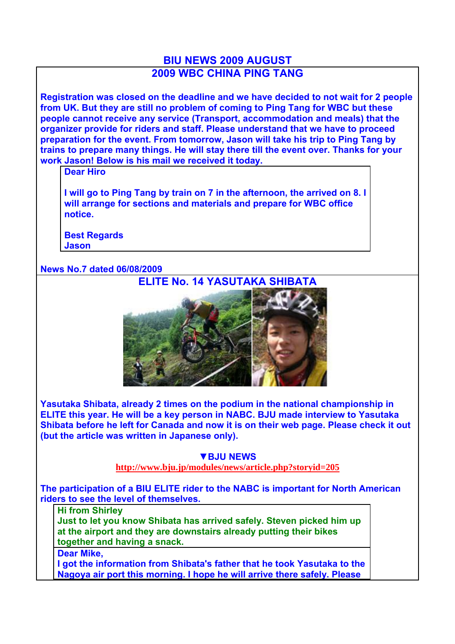## **BIU NEWS 2009 AUGUST 2009 WBC CHINA PING TANG**

**Registration was closed on the deadline and we have decided to not wait for 2 people from UK. But they are still no problem of coming to Ping Tang for WBC but these people cannot receive any service (Transport, accommodation and meals) that the organizer provide for riders and staff. Please understand that we have to proceed preparation for the event. From tomorrow, Jason will take his trip to Ping Tang by trains to prepare many things. He will stay there till the event over. Thanks for your work Jason! Below is his mail we received it today.**

**Dear Hiro**

**I will go to Ping Tang by train on 7 in the afternoon, the arrived on 8. I will arrange for sections and materials and prepare for WBC office notice.**

**Best Regards Jason**

## **News No.7 dated 06/08/2009**



**Yasutaka Shibata, already 2 times on the podium in the national championship in ELITE this year. He will be a key person in NABC. BJU made interview to Yasutaka Shibata before he left for Canada and now it is on their web page. Please check it out (but the article was written in Japanese only).** 

## **▼BJU NEWS**

**http://www.bju.jp/modules/news/article.php?storyid=205**

**The participation of a BIU ELITE rider to the NABC is important for North American riders to see the level of themselves.** 

## **Hi from Shirley**

**Just to let you know Shibata has arrived safely. Steven picked him up at the airport and they are downstairs already putting their bikes together and having a snack.**

**Dear Mike,**

**I got the information from Shibata's father that he took Yasutaka to the Nagoya air port this morning. I hope he will arrive there safely. Please**